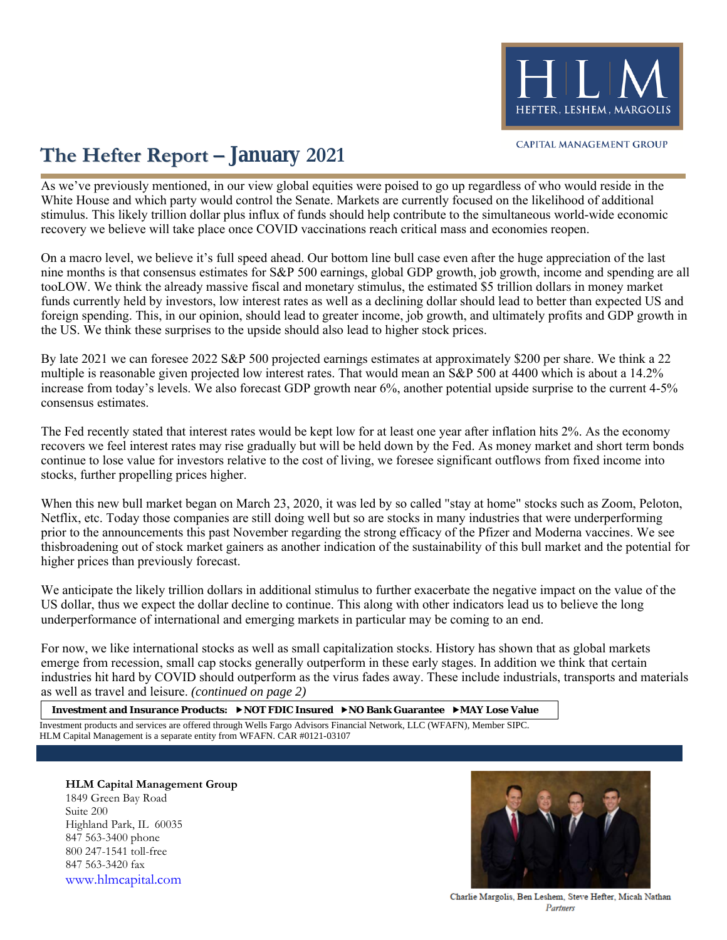

## **The Hefter Report – January 2021**

As we've previously mentioned, in our view global equities were poised to go up regardless of who would reside in the White House and which party would control the Senate. Markets are currently focused on the likelihood of additional stimulus. This likely trillion dollar plus influx of funds should help contribute to the simultaneous world-wide economic recovery we believe will take place once COVID vaccinations reach critical mass and economies reopen.

On a macro level, we believe it's full speed ahead. Our bottom line bull case even after the huge appreciation of the last nine months is that consensus estimates for S&P 500 earnings, global GDP growth, job growth, income and spending are all tooLOW. We think the already massive fiscal and monetary stimulus, the estimated \$5 trillion dollars in money market funds currently held by investors, low interest rates as well as a declining dollar should lead to better than expected US and foreign spending. This, in our opinion, should lead to greater income, job growth, and ultimately profits and GDP growth in the US. We think these surprises to the upside should also lead to higher stock prices.

By late 2021 we can foresee 2022 S&P 500 projected earnings estimates at approximately \$200 per share. We think a 22 multiple is reasonable given projected low interest rates. That would mean an S&P 500 at 4400 which is about a 14.2% increase from today's levels. We also forecast GDP growth near 6%, another potential upside surprise to the current 4-5% consensus estimates.

The Fed recently stated that interest rates would be kept low for at least one year after inflation hits 2%. As the economy recovers we feel interest rates may rise gradually but will be held down by the Fed. As money market and short term bonds continue to lose value for investors relative to the cost of living, we foresee significant outflows from fixed income into stocks, further propelling prices higher.

When this new bull market began on March 23, 2020, it was led by so called "stay at home" stocks such as Zoom, Peloton, Netflix, etc. Today those companies are still doing well but so are stocks in many industries that were underperforming prior to the announcements this past November regarding the strong efficacy of the Pfizer and Moderna vaccines. We see thisbroadening out of stock market gainers as another indication of the sustainability of this bull market and the potential for higher prices than previously forecast.

We anticipate the likely trillion dollars in additional stimulus to further exacerbate the negative impact on the value of the US dollar, thus we expect the dollar decline to continue. This along with other indicators lead us to believe the long underperformance of international and emerging markets in particular may be coming to an end.

For now, we like international stocks as well as small capitalization stocks. History has shown that as global markets emerge from recession, small cap stocks generally outperform in these early stages. In addition we think that certain industries hit hard by COVID should outperform as the virus fades away. These include industrials, transports and materials as well as travel and leisure. *(continued on page 2)*

**Investment and Insurance Products: NOT FDIC Insured NO Bank Guarantee MAY Lose Value**

Investment products and services are offered through Wells Fargo Advisors Financial Network, LLC (WFAFN), Member SIPC. HLM Capital Management is a separate entity from WFAFN. CAR #0121-03107

**HLM Capital Management Group** 1849 Green Bay Road Suite 200 Highland Park, IL 60035 847 563-3400 phone 800 247-1541 toll-free 847 563-3420 fax [www.hlmcapital.com](http://www.hlmcapital.com/)



Charlie Margolis, Ben Leshem, Steve Hefter, Micah Nathan Partners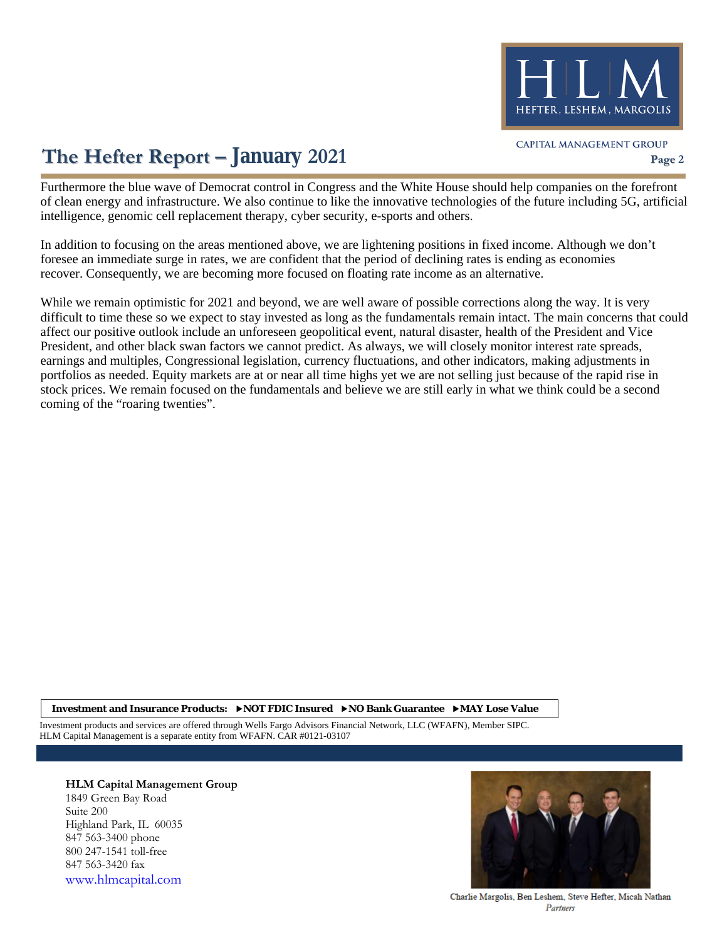

# **The Hefter Report** – January 2021 **Page 2** CAPITAL MANAGEMENT GROUP

Furthermore the blue wave of Democrat control in Congress and the White House should help companies on the forefront of clean energy and infrastructure. We also continue to like the innovative technologies of the future including 5G, artificial intelligence, genomic cell replacement therapy, cyber security, e-sports and others.

In addition to focusing on the areas mentioned above, we are lightening positions in fixed income. Although we don't foresee an immediate surge in rates, we are confident that the period of declining rates is ending as economies recover. Consequently, we are becoming more focused on floating rate income as an alternative.

While we remain optimistic for 2021 and beyond, we are well aware of possible corrections along the way. It is very difficult to time these so we expect to stay invested as long as the fundamentals remain intact. The main concerns that could affect our positive outlook include an unforeseen geopolitical event, natural disaster, health of the President and Vice President, and other black swan factors we cannot predict. As always, we will closely monitor interest rate spreads, earnings and multiples, Congressional legislation, currency fluctuations, and other indicators, making adjustments in portfolios as needed. Equity markets are at or near all time highs yet we are not selling just because of the rapid rise in stock prices. We remain focused on the fundamentals and believe we are still early in what we think could be a second coming of the "roaring twenties".

**Investment and Insurance Products: NOT FDIC Insured NO Bank Guarantee MAY Lose Value**

Investment products and services are offered through Wells Fargo Advisors Financial Network, LLC (WFAFN), Member SIPC. HLM Capital Management is a separate entity from WFAFN. CAR #0121-03107

#### **HLM Capital Management Group** 1849 Green Bay Road

Suite 200 Highland Park, IL 60035 847 563-3400 phone 800 247-1541 toll-free 847 563-3420 fax [www.hlmcapital.com](http://www.hlmcapital.com/)



Charlie Margolis, Ben Leshem, Steve Hefter, Micah Nathan Partners